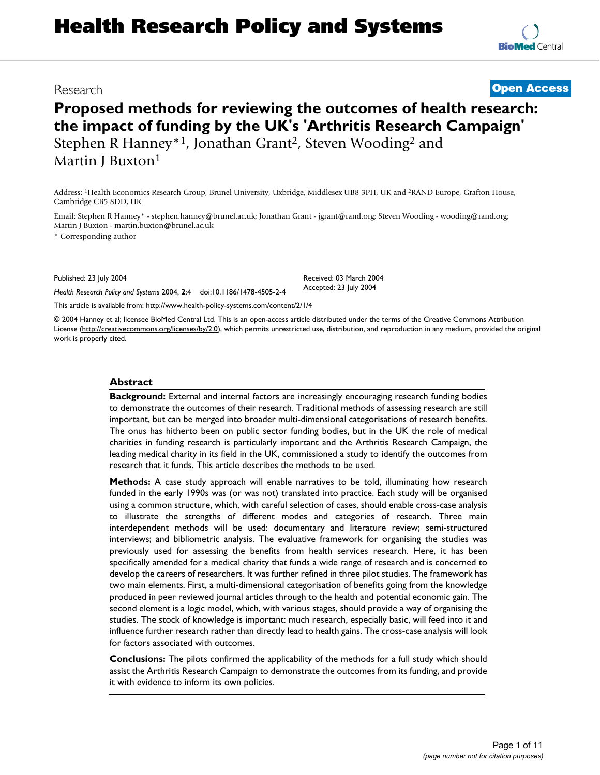# **Health Research Policy and Systems**

# Research **[Open Access](http://www.biomedcentral.com/info/about/charter/)**

# **Proposed methods for reviewing the outcomes of health research: the impact of funding by the UK's 'Arthritis Research Campaign'** Stephen R Hanney\*<sup>1</sup>, Jonathan Grant<sup>2</sup>, Steven Wooding<sup>2</sup> and Martin J Buxton<sup>1</sup>

Address: 1Health Economics Research Group, Brunel University, Uxbridge, Middlesex UB8 3PH, UK and 2RAND Europe, Grafton House, Cambridge CB5 8DD, UK

Email: Stephen R Hanney\* - stephen.hanney@brunel.ac.uk; Jonathan Grant - jgrant@rand.org; Steven Wooding - wooding@rand.org; Martin J Buxton - martin.buxton@brunel.ac.uk

\* Corresponding author

Published: 23 July 2004

*Health Research Policy and Systems* 2004, **2**:4 doi:10.1186/1478-4505-2-4

[This article is available from: http://www.health-policy-systems.com/content/2/1/4](http://www.health-policy-systems.com/content/2/1/4)

© 2004 Hanney et al; licensee BioMed Central Ltd. This is an open-access article distributed under the terms of the Creative Commons Attribution License (<http://creativecommons.org/licenses/by/2.0>), which permits unrestricted use, distribution, and reproduction in any medium, provided the original work is properly cited.

Received: 03 March 2004 Accepted: 23 July 2004

#### **Abstract**

**Background:** External and internal factors are increasingly encouraging research funding bodies to demonstrate the outcomes of their research. Traditional methods of assessing research are still important, but can be merged into broader multi-dimensional categorisations of research benefits. The onus has hitherto been on public sector funding bodies, but in the UK the role of medical charities in funding research is particularly important and the Arthritis Research Campaign, the leading medical charity in its field in the UK, commissioned a study to identify the outcomes from research that it funds. This article describes the methods to be used.

**Methods:** A case study approach will enable narratives to be told, illuminating how research funded in the early 1990s was (or was not) translated into practice. Each study will be organised using a common structure, which, with careful selection of cases, should enable cross-case analysis to illustrate the strengths of different modes and categories of research. Three main interdependent methods will be used: documentary and literature review; semi-structured interviews; and bibliometric analysis. The evaluative framework for organising the studies was previously used for assessing the benefits from health services research. Here, it has been specifically amended for a medical charity that funds a wide range of research and is concerned to develop the careers of researchers. It was further refined in three pilot studies. The framework has two main elements. First, a multi-dimensional categorisation of benefits going from the knowledge produced in peer reviewed journal articles through to the health and potential economic gain. The second element is a logic model, which, with various stages, should provide a way of organising the studies. The stock of knowledge is important: much research, especially basic, will feed into it and influence further research rather than directly lead to health gains. The cross-case analysis will look for factors associated with outcomes.

**Conclusions:** The pilots confirmed the applicability of the methods for a full study which should assist the Arthritis Research Campaign to demonstrate the outcomes from its funding, and provide it with evidence to inform its own policies.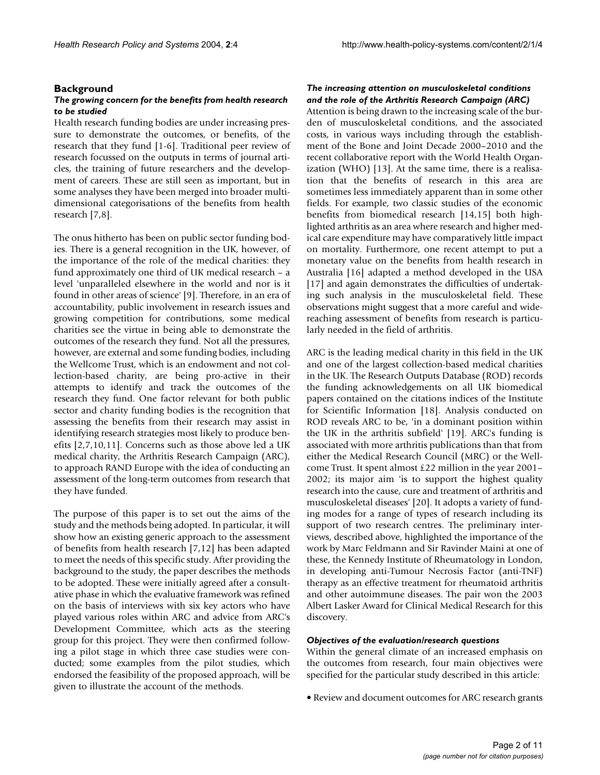#### **Background**

#### *The growing concern for the benefits from health research to be studied*

Health research funding bodies are under increasing pressure to demonstrate the outcomes, or benefits, of the research that they fund [1-6]. Traditional peer review of research focussed on the outputs in terms of journal articles, the training of future researchers and the development of careers. These are still seen as important, but in some analyses they have been merged into broader multidimensional categorisations of the benefits from health research [7,8].

The onus hitherto has been on public sector funding bodies. There is a general recognition in the UK, however, of the importance of the role of the medical charities: they fund approximately one third of UK medical research – a level 'unparalleled elsewhere in the world and nor is it found in other areas of science' [9]. Therefore, in an era of accountability, public involvement in research issues and growing competition for contributions, some medical charities see the virtue in being able to demonstrate the outcomes of the research they fund. Not all the pressures, however, are external and some funding bodies, including the Wellcome Trust, which is an endowment and not collection-based charity, are being pro-active in their attempts to identify and track the outcomes of the research they fund. One factor relevant for both public sector and charity funding bodies is the recognition that assessing the benefits from their research may assist in identifying research strategies most likely to produce benefits [2,7,10,11]. Concerns such as those above led a UK medical charity, the Arthritis Research Campaign (ARC), to approach RAND Europe with the idea of conducting an assessment of the long-term outcomes from research that they have funded.

The purpose of this paper is to set out the aims of the study and the methods being adopted. In particular, it will show how an existing generic approach to the assessment of benefits from health research [7,12] has been adapted to meet the needs of this specific study. After providing the background to the study, the paper describes the methods to be adopted. These were initially agreed after a consultative phase in which the evaluative framework was refined on the basis of interviews with six key actors who have played various roles within ARC and advice from ARC's Development Committee, which acts as the steering group for this project. They were then confirmed following a pilot stage in which three case studies were conducted; some examples from the pilot studies, which endorsed the feasibility of the proposed approach, will be given to illustrate the account of the methods.

#### *The increasing attention on musculoskeletal conditions and the role of the Arthritis Research Campaign (ARC)*

Attention is being drawn to the increasing scale of the burden of musculoskeletal conditions, and the associated costs, in various ways including through the establishment of the Bone and Joint Decade 2000–2010 and the recent collaborative report with the World Health Organization (WHO) [13]. At the same time, there is a realisation that the benefits of research in this area are sometimes less immediately apparent than in some other fields. For example, two classic studies of the economic benefits from biomedical research [14,15] both highlighted arthritis as an area where research and higher medical care expenditure may have comparatively little impact on mortality. Furthermore, one recent attempt to put a monetary value on the benefits from health research in Australia [16] adapted a method developed in the USA [17] and again demonstrates the difficulties of undertaking such analysis in the musculoskeletal field. These observations might suggest that a more careful and widereaching assessment of benefits from research is particularly needed in the field of arthritis.

ARC is the leading medical charity in this field in the UK and one of the largest collection-based medical charities in the UK. The Research Outputs Database (ROD) records the funding acknowledgements on all UK biomedical papers contained on the citations indices of the Institute for Scientific Information [18]. Analysis conducted on ROD reveals ARC to be, 'in a dominant position within the UK in the arthritis subfield' [19]. ARC's funding is associated with more arthritis publications than that from either the Medical Research Council (MRC) or the Wellcome Trust. It spent almost £22 million in the year 2001– 2002; its major aim 'is to support the highest quality research into the cause, cure and treatment of arthritis and musculoskeletal diseases' [20]. It adopts a variety of funding modes for a range of types of research including its support of two research centres. The preliminary interviews, described above, highlighted the importance of the work by Marc Feldmann and Sir Ravinder Maini at one of these, the Kennedy Institute of Rheumatology in London, in developing anti-Tumour Necrosis Factor (anti-TNF) therapy as an effective treatment for rheumatoid arthritis and other autoimmune diseases. The pair won the 2003 Albert Lasker Award for Clinical Medical Research for this discovery.

#### *Objectives of the evaluation/research questions*

Within the general climate of an increased emphasis on the outcomes from research, four main objectives were specified for the particular study described in this article:

• Review and document outcomes for ARC research grants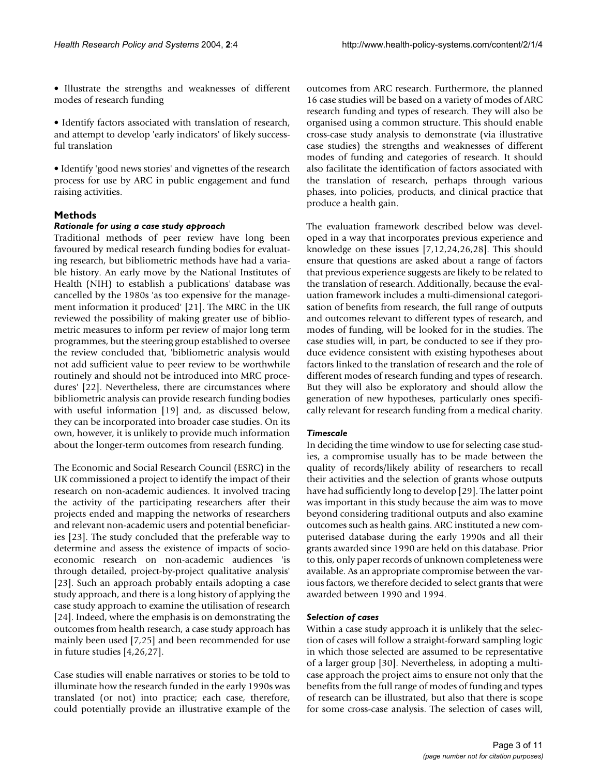• Illustrate the strengths and weaknesses of different modes of research funding

• Identify factors associated with translation of research, and attempt to develop 'early indicators' of likely successful translation

• Identify 'good news stories' and vignettes of the research process for use by ARC in public engagement and fund raising activities.

#### **Methods**

#### *Rationale for using a case study approach*

Traditional methods of peer review have long been favoured by medical research funding bodies for evaluating research, but bibliometric methods have had a variable history. An early move by the National Institutes of Health (NIH) to establish a publications' database was cancelled by the 1980s 'as too expensive for the management information it produced' [21]. The MRC in the UK reviewed the possibility of making greater use of bibliometric measures to inform per review of major long term programmes, but the steering group established to oversee the review concluded that, 'bibliometric analysis would not add sufficient value to peer review to be worthwhile routinely and should not be introduced into MRC procedures' [22]. Nevertheless, there are circumstances where bibliometric analysis can provide research funding bodies with useful information [19] and, as discussed below, they can be incorporated into broader case studies. On its own, however, it is unlikely to provide much information about the longer-term outcomes from research funding.

The Economic and Social Research Council (ESRC) in the UK commissioned a project to identify the impact of their research on non-academic audiences. It involved tracing the activity of the participating researchers after their projects ended and mapping the networks of researchers and relevant non-academic users and potential beneficiaries [23]. The study concluded that the preferable way to determine and assess the existence of impacts of socioeconomic research on non-academic audiences 'is through detailed, project-by-project qualitative analysis' [23]. Such an approach probably entails adopting a case study approach, and there is a long history of applying the case study approach to examine the utilisation of research [24]. Indeed, where the emphasis is on demonstrating the outcomes from health research, a case study approach has mainly been used [7,25] and been recommended for use in future studies [4,26,27].

Case studies will enable narratives or stories to be told to illuminate how the research funded in the early 1990s was translated (or not) into practice; each case, therefore, could potentially provide an illustrative example of the outcomes from ARC research. Furthermore, the planned 16 case studies will be based on a variety of modes of ARC research funding and types of research. They will also be organised using a common structure. This should enable cross-case study analysis to demonstrate (via illustrative case studies) the strengths and weaknesses of different modes of funding and categories of research. It should also facilitate the identification of factors associated with the translation of research, perhaps through various phases, into policies, products, and clinical practice that produce a health gain.

The evaluation framework described below was developed in a way that incorporates previous experience and knowledge on these issues [7,12,24,26,28]. This should ensure that questions are asked about a range of factors that previous experience suggests are likely to be related to the translation of research. Additionally, because the evaluation framework includes a multi-dimensional categorisation of benefits from research, the full range of outputs and outcomes relevant to different types of research, and modes of funding, will be looked for in the studies. The case studies will, in part, be conducted to see if they produce evidence consistent with existing hypotheses about factors linked to the translation of research and the role of different modes of research funding and types of research. But they will also be exploratory and should allow the generation of new hypotheses, particularly ones specifically relevant for research funding from a medical charity.

#### *Timescale*

In deciding the time window to use for selecting case studies, a compromise usually has to be made between the quality of records/likely ability of researchers to recall their activities and the selection of grants whose outputs have had sufficiently long to develop [29]. The latter point was important in this study because the aim was to move beyond considering traditional outputs and also examine outcomes such as health gains. ARC instituted a new computerised database during the early 1990s and all their grants awarded since 1990 are held on this database. Prior to this, only paper records of unknown completeness were available. As an appropriate compromise between the various factors, we therefore decided to select grants that were awarded between 1990 and 1994.

#### *Selection of cases*

Within a case study approach it is unlikely that the selection of cases will follow a straight-forward sampling logic in which those selected are assumed to be representative of a larger group [30]. Nevertheless, in adopting a multicase approach the project aims to ensure not only that the benefits from the full range of modes of funding and types of research can be illustrated, but also that there is scope for some cross-case analysis. The selection of cases will,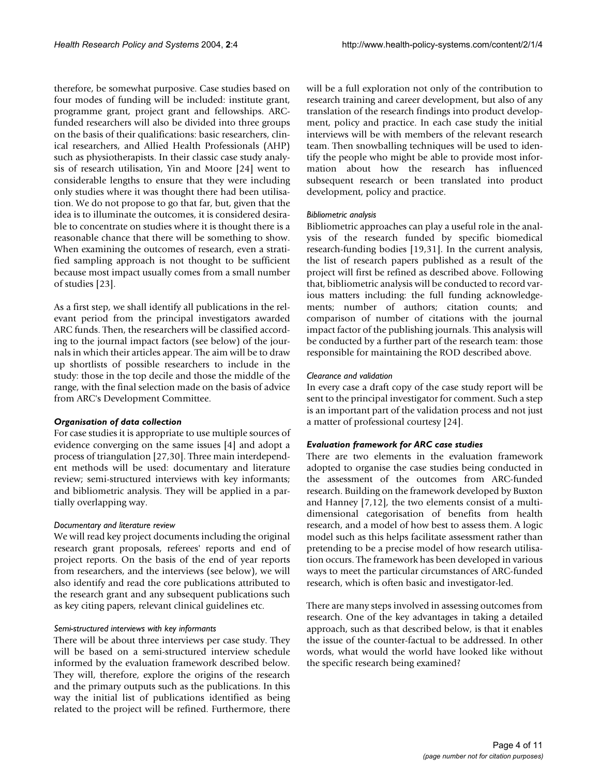therefore, be somewhat purposive. Case studies based on four modes of funding will be included: institute grant, programme grant, project grant and fellowships. ARCfunded researchers will also be divided into three groups on the basis of their qualifications: basic researchers, clinical researchers, and Allied Health Professionals (AHP) such as physiotherapists. In their classic case study analysis of research utilisation, Yin and Moore [24] went to considerable lengths to ensure that they were including only studies where it was thought there had been utilisation. We do not propose to go that far, but, given that the idea is to illuminate the outcomes, it is considered desirable to concentrate on studies where it is thought there is a reasonable chance that there will be something to show. When examining the outcomes of research, even a stratified sampling approach is not thought to be sufficient because most impact usually comes from a small number of studies [23].

As a first step, we shall identify all publications in the relevant period from the principal investigators awarded ARC funds. Then, the researchers will be classified according to the journal impact factors (see below) of the journals in which their articles appear. The aim will be to draw up shortlists of possible researchers to include in the study: those in the top decile and those the middle of the range, with the final selection made on the basis of advice from ARC's Development Committee.

# *Organisation of data collection*

For case studies it is appropriate to use multiple sources of evidence converging on the same issues [4] and adopt a process of triangulation [27,30]. Three main interdependent methods will be used: documentary and literature review; semi-structured interviews with key informants; and bibliometric analysis. They will be applied in a partially overlapping way.

#### *Documentary and literature review*

We will read key project documents including the original research grant proposals, referees' reports and end of project reports. On the basis of the end of year reports from researchers, and the interviews (see below), we will also identify and read the core publications attributed to the research grant and any subsequent publications such as key citing papers, relevant clinical guidelines etc.

#### *Semi-structured interviews with key informants*

There will be about three interviews per case study. They will be based on a semi-structured interview schedule informed by the evaluation framework described below. They will, therefore, explore the origins of the research and the primary outputs such as the publications. In this way the initial list of publications identified as being related to the project will be refined. Furthermore, there will be a full exploration not only of the contribution to research training and career development, but also of any translation of the research findings into product development, policy and practice. In each case study the initial interviews will be with members of the relevant research team. Then snowballing techniques will be used to identify the people who might be able to provide most information about how the research has influenced subsequent research or been translated into product development, policy and practice.

#### *Bibliometric analysis*

Bibliometric approaches can play a useful role in the analysis of the research funded by specific biomedical research-funding bodies [19,31]. In the current analysis, the list of research papers published as a result of the project will first be refined as described above. Following that, bibliometric analysis will be conducted to record various matters including: the full funding acknowledgements; number of authors; citation counts; and comparison of number of citations with the journal impact factor of the publishing journals. This analysis will be conducted by a further part of the research team: those responsible for maintaining the ROD described above.

#### *Clearance and validation*

In every case a draft copy of the case study report will be sent to the principal investigator for comment. Such a step is an important part of the validation process and not just a matter of professional courtesy [24].

# *Evaluation framework for ARC case studies*

There are two elements in the evaluation framework adopted to organise the case studies being conducted in the assessment of the outcomes from ARC-funded research. Building on the framework developed by Buxton and Hanney [7,12], the two elements consist of a multidimensional categorisation of benefits from health research, and a model of how best to assess them. A logic model such as this helps facilitate assessment rather than pretending to be a precise model of how research utilisation occurs. The framework has been developed in various ways to meet the particular circumstances of ARC-funded research, which is often basic and investigator-led.

There are many steps involved in assessing outcomes from research. One of the key advantages in taking a detailed approach, such as that described below, is that it enables the issue of the counter-factual to be addressed. In other words, what would the world have looked like without the specific research being examined?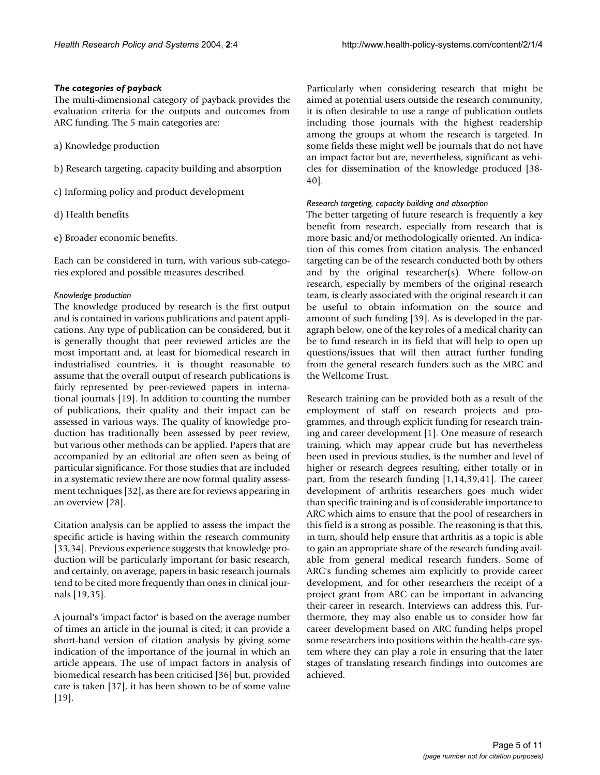#### *The categories of payback*

The multi-dimensional category of payback provides the evaluation criteria for the outputs and outcomes from ARC funding. The 5 main categories are:

a) Knowledge production

- b) Research targeting, capacity building and absorption
- c) Informing policy and product development
- d) Health benefits
- e) Broader economic benefits.

Each can be considered in turn, with various sub-categories explored and possible measures described.

# *Knowledge production*

The knowledge produced by research is the first output and is contained in various publications and patent applications. Any type of publication can be considered, but it is generally thought that peer reviewed articles are the most important and, at least for biomedical research in industrialised countries, it is thought reasonable to assume that the overall output of research publications is fairly represented by peer-reviewed papers in international journals [19]. In addition to counting the number of publications, their quality and their impact can be assessed in various ways. The quality of knowledge production has traditionally been assessed by peer review, but various other methods can be applied. Papers that are accompanied by an editorial are often seen as being of particular significance. For those studies that are included in a systematic review there are now formal quality assessment techniques [32], as there are for reviews appearing in an overview [28].

Citation analysis can be applied to assess the impact the specific article is having within the research community [33,34]. Previous experience suggests that knowledge production will be particularly important for basic research, and certainly, on average, papers in basic research journals tend to be cited more frequently than ones in clinical journals [19,35].

A journal's 'impact factor' is based on the average number of times an article in the journal is cited; it can provide a short-hand version of citation analysis by giving some indication of the importance of the journal in which an article appears. The use of impact factors in analysis of biomedical research has been criticised [36] but, provided care is taken [37], it has been shown to be of some value [19].

Particularly when considering research that might be aimed at potential users outside the research community, it is often desirable to use a range of publication outlets including those journals with the highest readership among the groups at whom the research is targeted. In some fields these might well be journals that do not have an impact factor but are, nevertheless, significant as vehicles for dissemination of the knowledge produced [38- 40].

# *Research targeting, capacity building and absorption*

The better targeting of future research is frequently a key benefit from research, especially from research that is more basic and/or methodologically oriented. An indication of this comes from citation analysis. The enhanced targeting can be of the research conducted both by others and by the original researcher(s). Where follow-on research, especially by members of the original research team, is clearly associated with the original research it can be useful to obtain information on the source and amount of such funding [39]. As is developed in the paragraph below, one of the key roles of a medical charity can be to fund research in its field that will help to open up questions/issues that will then attract further funding from the general research funders such as the MRC and the Wellcome Trust.

Research training can be provided both as a result of the employment of staff on research projects and programmes, and through explicit funding for research training and career development [1]. One measure of research training, which may appear crude but has nevertheless been used in previous studies, is the number and level of higher or research degrees resulting, either totally or in part, from the research funding [1,14,39,41]. The career development of arthritis researchers goes much wider than specific training and is of considerable importance to ARC which aims to ensure that the pool of researchers in this field is a strong as possible. The reasoning is that this, in turn, should help ensure that arthritis as a topic is able to gain an appropriate share of the research funding available from general medical research funders. Some of ARC's funding schemes aim explicitly to provide career development, and for other researchers the receipt of a project grant from ARC can be important in advancing their career in research. Interviews can address this. Furthermore, they may also enable us to consider how far career development based on ARC funding helps propel some researchers into positions within the health-care system where they can play a role in ensuring that the later stages of translating research findings into outcomes are achieved.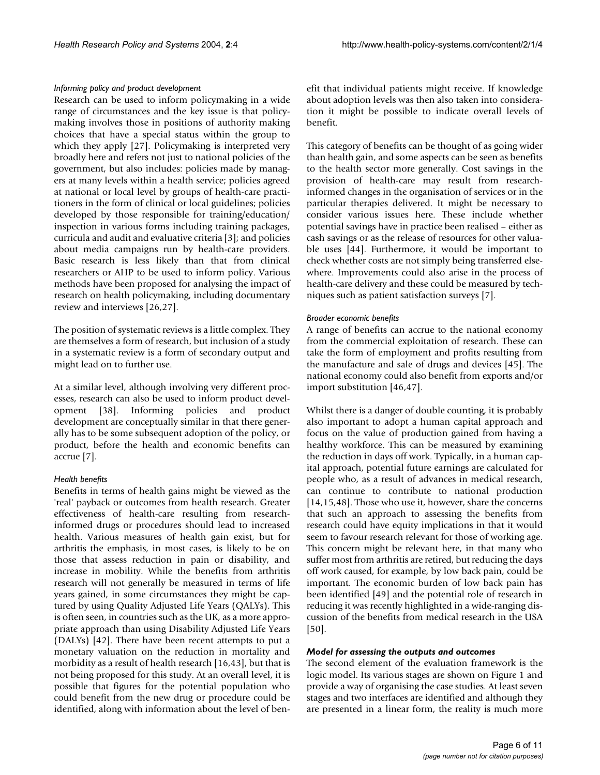# *Informing policy and product development*

Research can be used to inform policymaking in a wide range of circumstances and the key issue is that policymaking involves those in positions of authority making choices that have a special status within the group to which they apply [27]. Policymaking is interpreted very broadly here and refers not just to national policies of the government, but also includes: policies made by managers at many levels within a health service; policies agreed at national or local level by groups of health-care practitioners in the form of clinical or local guidelines; policies developed by those responsible for training/education/ inspection in various forms including training packages, curricula and audit and evaluative criteria [3]; and policies about media campaigns run by health-care providers. Basic research is less likely than that from clinical researchers or AHP to be used to inform policy. Various methods have been proposed for analysing the impact of research on health policymaking, including documentary review and interviews [26,27].

The position of systematic reviews is a little complex. They are themselves a form of research, but inclusion of a study in a systematic review is a form of secondary output and might lead on to further use.

At a similar level, although involving very different processes, research can also be used to inform product development [38]. Informing policies and product development are conceptually similar in that there generally has to be some subsequent adoption of the policy, or product, before the health and economic benefits can accrue [7].

# *Health benefits*

Benefits in terms of health gains might be viewed as the 'real' payback or outcomes from health research. Greater effectiveness of health-care resulting from researchinformed drugs or procedures should lead to increased health. Various measures of health gain exist, but for arthritis the emphasis, in most cases, is likely to be on those that assess reduction in pain or disability, and increase in mobility. While the benefits from arthritis research will not generally be measured in terms of life years gained, in some circumstances they might be captured by using Quality Adjusted Life Years (QALYs). This is often seen, in countries such as the UK, as a more appropriate approach than using Disability Adjusted Life Years (DALYs) [42]. There have been recent attempts to put a monetary valuation on the reduction in mortality and morbidity as a result of health research [16,43], but that is not being proposed for this study. At an overall level, it is possible that figures for the potential population who could benefit from the new drug or procedure could be identified, along with information about the level of benefit that individual patients might receive. If knowledge about adoption levels was then also taken into consideration it might be possible to indicate overall levels of benefit.

This category of benefits can be thought of as going wider than health gain, and some aspects can be seen as benefits to the health sector more generally. Cost savings in the provision of health-care may result from researchinformed changes in the organisation of services or in the particular therapies delivered. It might be necessary to consider various issues here. These include whether potential savings have in practice been realised – either as cash savings or as the release of resources for other valuable uses [44]. Furthermore, it would be important to check whether costs are not simply being transferred elsewhere. Improvements could also arise in the process of health-care delivery and these could be measured by techniques such as patient satisfaction surveys [7].

#### *Broader economic benefits*

A range of benefits can accrue to the national economy from the commercial exploitation of research. These can take the form of employment and profits resulting from the manufacture and sale of drugs and devices [45]. The national economy could also benefit from exports and/or import substitution [46,47].

Whilst there is a danger of double counting, it is probably also important to adopt a human capital approach and focus on the value of production gained from having a healthy workforce. This can be measured by examining the reduction in days off work. Typically, in a human capital approach, potential future earnings are calculated for people who, as a result of advances in medical research, can continue to contribute to national production [14,15,48]. Those who use it, however, share the concerns that such an approach to assessing the benefits from research could have equity implications in that it would seem to favour research relevant for those of working age. This concern might be relevant here, in that many who suffer most from arthritis are retired, but reducing the days off work caused, for example, by low back pain, could be important. The economic burden of low back pain has been identified [49] and the potential role of research in reducing it was recently highlighted in a wide-ranging discussion of the benefits from medical research in the USA [50].

# *Model for assessing the outputs and outcomes*

The second element of the evaluation framework is the logic model. Its various stages are shown on Figure 1 and provide a way of organising the case studies. At least seven stages and two interfaces are identified and although they are presented in a linear form, the reality is much more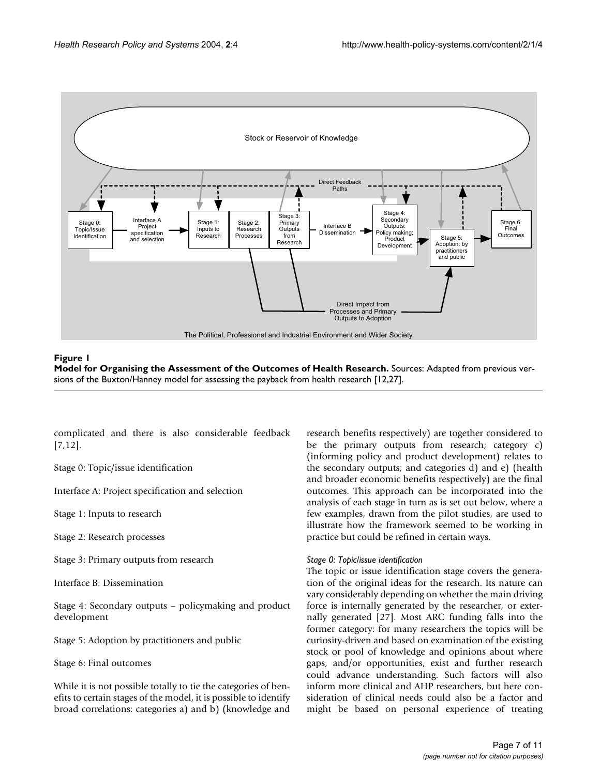

Model for Organising the Assessment **Figure 1** of the Outcomes of Health Research **Model for Organising the Assessment of the Outcomes of Health Research.** Sources: Adapted from previous versions of the Buxton/Hanney model for assessing the payback from health research [12,27].

complicated and there is also considerable feedback [7,12].

Stage 0: Topic/issue identification

Interface A: Project specification and selection

Stage 1: Inputs to research

Stage 2: Research processes

Stage 3: Primary outputs from research

Interface B: Dissemination

Stage 4: Secondary outputs – policymaking and product development

Stage 5: Adoption by practitioners and public

Stage 6: Final outcomes

While it is not possible totally to tie the categories of benefits to certain stages of the model, it is possible to identify broad correlations: categories a) and b) (knowledge and research benefits respectively) are together considered to be the primary outputs from research; category c) (informing policy and product development) relates to the secondary outputs; and categories d) and e) (health and broader economic benefits respectively) are the final outcomes. This approach can be incorporated into the analysis of each stage in turn as is set out below, where a few examples, drawn from the pilot studies, are used to illustrate how the framework seemed to be working in practice but could be refined in certain ways.

#### *Stage 0: Topic/issue identification*

The topic or issue identification stage covers the generation of the original ideas for the research. Its nature can vary considerably depending on whether the main driving force is internally generated by the researcher, or externally generated [27]. Most ARC funding falls into the former category: for many researchers the topics will be curiosity-driven and based on examination of the existing stock or pool of knowledge and opinions about where gaps, and/or opportunities, exist and further research could advance understanding. Such factors will also inform more clinical and AHP researchers, but here consideration of clinical needs could also be a factor and might be based on personal experience of treating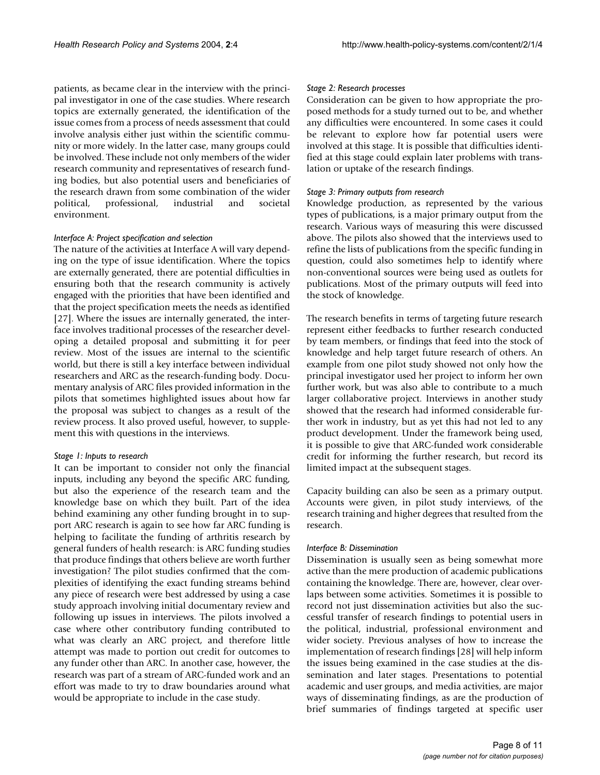patients, as became clear in the interview with the principal investigator in one of the case studies. Where research topics are externally generated, the identification of the issue comes from a process of needs assessment that could involve analysis either just within the scientific community or more widely. In the latter case, many groups could be involved. These include not only members of the wider research community and representatives of research funding bodies, but also potential users and beneficiaries of the research drawn from some combination of the wider political, professional, industrial and societal environment.

#### *Interface A: Project specification and selection*

The nature of the activities at Interface A will vary depending on the type of issue identification. Where the topics are externally generated, there are potential difficulties in ensuring both that the research community is actively engaged with the priorities that have been identified and that the project specification meets the needs as identified [27]. Where the issues are internally generated, the interface involves traditional processes of the researcher developing a detailed proposal and submitting it for peer review. Most of the issues are internal to the scientific world, but there is still a key interface between individual researchers and ARC as the research-funding body. Documentary analysis of ARC files provided information in the pilots that sometimes highlighted issues about how far the proposal was subject to changes as a result of the review process. It also proved useful, however, to supplement this with questions in the interviews.

# *Stage 1: Inputs to research*

It can be important to consider not only the financial inputs, including any beyond the specific ARC funding, but also the experience of the research team and the knowledge base on which they built. Part of the idea behind examining any other funding brought in to support ARC research is again to see how far ARC funding is helping to facilitate the funding of arthritis research by general funders of health research: is ARC funding studies that produce findings that others believe are worth further investigation? The pilot studies confirmed that the complexities of identifying the exact funding streams behind any piece of research were best addressed by using a case study approach involving initial documentary review and following up issues in interviews. The pilots involved a case where other contributory funding contributed to what was clearly an ARC project, and therefore little attempt was made to portion out credit for outcomes to any funder other than ARC. In another case, however, the research was part of a stream of ARC-funded work and an effort was made to try to draw boundaries around what would be appropriate to include in the case study.

# *Stage 2: Research processes*

Consideration can be given to how appropriate the proposed methods for a study turned out to be, and whether any difficulties were encountered. In some cases it could be relevant to explore how far potential users were involved at this stage. It is possible that difficulties identified at this stage could explain later problems with translation or uptake of the research findings.

# *Stage 3: Primary outputs from research*

Knowledge production, as represented by the various types of publications, is a major primary output from the research. Various ways of measuring this were discussed above. The pilots also showed that the interviews used to refine the lists of publications from the specific funding in question, could also sometimes help to identify where non-conventional sources were being used as outlets for publications. Most of the primary outputs will feed into the stock of knowledge.

The research benefits in terms of targeting future research represent either feedbacks to further research conducted by team members, or findings that feed into the stock of knowledge and help target future research of others. An example from one pilot study showed not only how the principal investigator used her project to inform her own further work, but was also able to contribute to a much larger collaborative project. Interviews in another study showed that the research had informed considerable further work in industry, but as yet this had not led to any product development. Under the framework being used, it is possible to give that ARC-funded work considerable credit for informing the further research, but record its limited impact at the subsequent stages.

Capacity building can also be seen as a primary output. Accounts were given, in pilot study interviews, of the research training and higher degrees that resulted from the research.

# *Interface B: Dissemination*

Dissemination is usually seen as being somewhat more active than the mere production of academic publications containing the knowledge. There are, however, clear overlaps between some activities. Sometimes it is possible to record not just dissemination activities but also the successful transfer of research findings to potential users in the political, industrial, professional environment and wider society. Previous analyses of how to increase the implementation of research findings [28] will help inform the issues being examined in the case studies at the dissemination and later stages. Presentations to potential academic and user groups, and media activities, are major ways of disseminating findings, as are the production of brief summaries of findings targeted at specific user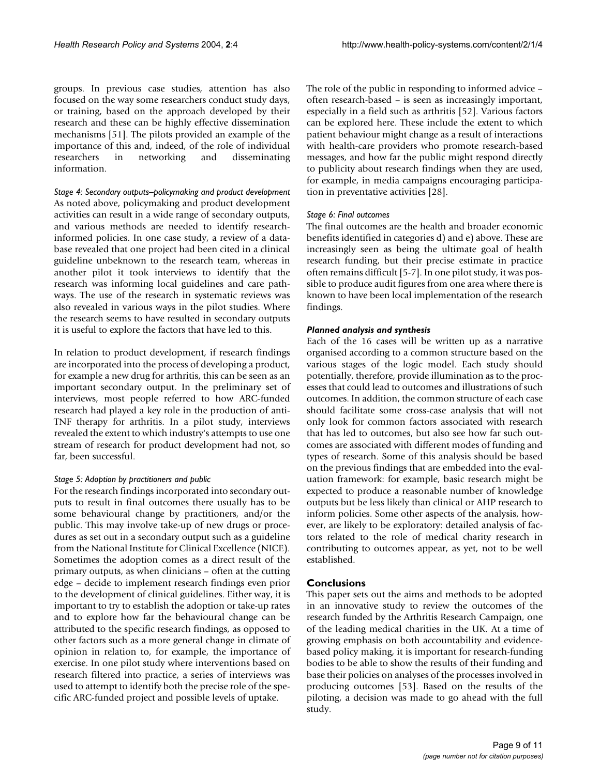groups. In previous case studies, attention has also focused on the way some researchers conduct study days, or training, based on the approach developed by their research and these can be highly effective dissemination mechanisms [51]. The pilots provided an example of the importance of this and, indeed, of the role of individual researchers in networking and disseminating information.

*Stage 4: Secondary outputs–policymaking and product development* As noted above, policymaking and product development activities can result in a wide range of secondary outputs, and various methods are needed to identify researchinformed policies. In one case study, a review of a database revealed that one project had been cited in a clinical guideline unbeknown to the research team, whereas in another pilot it took interviews to identify that the research was informing local guidelines and care pathways. The use of the research in systematic reviews was also revealed in various ways in the pilot studies. Where the research seems to have resulted in secondary outputs it is useful to explore the factors that have led to this.

In relation to product development, if research findings are incorporated into the process of developing a product, for example a new drug for arthritis, this can be seen as an important secondary output. In the preliminary set of interviews, most people referred to how ARC-funded research had played a key role in the production of anti-TNF therapy for arthritis. In a pilot study, interviews revealed the extent to which industry's attempts to use one stream of research for product development had not, so far, been successful.

#### *Stage 5: Adoption by practitioners and public*

For the research findings incorporated into secondary outputs to result in final outcomes there usually has to be some behavioural change by practitioners, and/or the public. This may involve take-up of new drugs or procedures as set out in a secondary output such as a guideline from the National Institute for Clinical Excellence (NICE). Sometimes the adoption comes as a direct result of the primary outputs, as when clinicians – often at the cutting edge – decide to implement research findings even prior to the development of clinical guidelines. Either way, it is important to try to establish the adoption or take-up rates and to explore how far the behavioural change can be attributed to the specific research findings, as opposed to other factors such as a more general change in climate of opinion in relation to, for example, the importance of exercise. In one pilot study where interventions based on research filtered into practice, a series of interviews was used to attempt to identify both the precise role of the specific ARC-funded project and possible levels of uptake.

The role of the public in responding to informed advice – often research-based – is seen as increasingly important, especially in a field such as arthritis [52]. Various factors can be explored here. These include the extent to which patient behaviour might change as a result of interactions with health-care providers who promote research-based messages, and how far the public might respond directly to publicity about research findings when they are used, for example, in media campaigns encouraging participation in preventative activities [28].

#### *Stage 6: Final outcomes*

The final outcomes are the health and broader economic benefits identified in categories d) and e) above. These are increasingly seen as being the ultimate goal of health research funding, but their precise estimate in practice often remains difficult [5-7]. In one pilot study, it was possible to produce audit figures from one area where there is known to have been local implementation of the research findings.

#### *Planned analysis and synthesis*

Each of the 16 cases will be written up as a narrative organised according to a common structure based on the various stages of the logic model. Each study should potentially, therefore, provide illumination as to the processes that could lead to outcomes and illustrations of such outcomes. In addition, the common structure of each case should facilitate some cross-case analysis that will not only look for common factors associated with research that has led to outcomes, but also see how far such outcomes are associated with different modes of funding and types of research. Some of this analysis should be based on the previous findings that are embedded into the evaluation framework: for example, basic research might be expected to produce a reasonable number of knowledge outputs but be less likely than clinical or AHP research to inform policies. Some other aspects of the analysis, however, are likely to be exploratory: detailed analysis of factors related to the role of medical charity research in contributing to outcomes appear, as yet, not to be well established.

# **Conclusions**

This paper sets out the aims and methods to be adopted in an innovative study to review the outcomes of the research funded by the Arthritis Research Campaign, one of the leading medical charities in the UK. At a time of growing emphasis on both accountability and evidencebased policy making, it is important for research-funding bodies to be able to show the results of their funding and base their policies on analyses of the processes involved in producing outcomes [53]. Based on the results of the piloting, a decision was made to go ahead with the full study.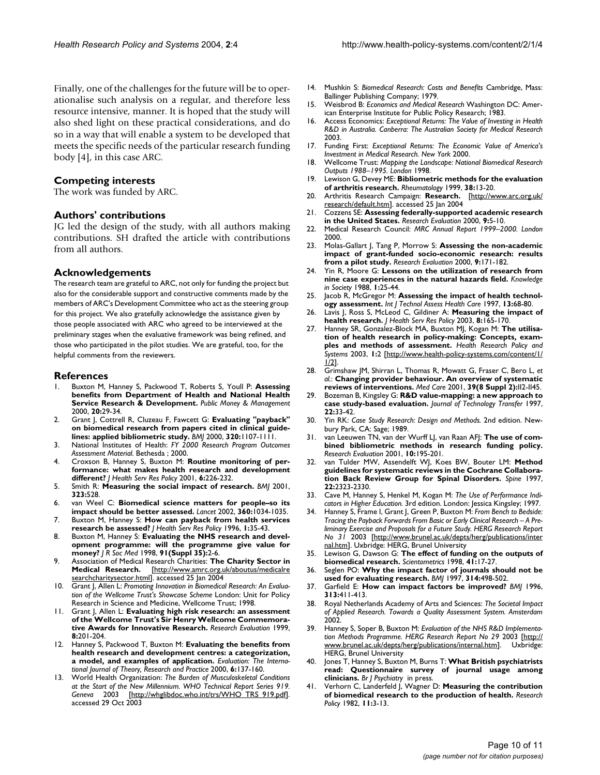Finally, one of the challenges for the future will be to operationalise such analysis on a regular, and therefore less resource intensive, manner. It is hoped that the study will also shed light on these practical considerations, and do so in a way that will enable a system to be developed that meets the specific needs of the particular research funding body [4], in this case ARC.

#### **Competing interests**

The work was funded by ARC.

#### **Authors' contributions**

JG led the design of the study, with all authors making contributions. SH drafted the article with contributions from all authors.

#### **Acknowledgements**

The research team are grateful to ARC, not only for funding the project but also for the considerable support and constructive comments made by the members of ARC's Development Committee who act as the steering group for this project. We also gratefully acknowledge the assistance given by those people associated with ARC who agreed to be interviewed at the preliminary stages when the evaluative framework was being refined, and those who participated in the pilot studies. We are grateful, too, for the helpful comments from the reviewers.

#### **References**

- 1. Buxton M, Hanney S, Packwood T, Roberts S, Youll P: **[Assessing](http://www.ncbi.nlm.nih.gov/entrez/query.fcgi?cmd=Retrieve&db=PubMed&dopt=Abstract&list_uids=10.1111/1467-9302.00233) [benefits from Department of Health and National Health](http://www.ncbi.nlm.nih.gov/entrez/query.fcgi?cmd=Retrieve&db=PubMed&dopt=Abstract&list_uids=10.1111/1467-9302.00233) [Service Research & Development.](http://www.ncbi.nlm.nih.gov/entrez/query.fcgi?cmd=Retrieve&db=PubMed&dopt=Abstract&list_uids=10.1111/1467-9302.00233)** *Public Money & Management* 2000, **20:**29-34.
- 2. Grant J, Cottrell R, Cluzeau F, Fawcett G: **[Evaluating "payback"](http://www.ncbi.nlm.nih.gov/entrez/query.fcgi?cmd=Retrieve&db=PubMed&dopt=Abstract&list_uids=10.1136/bmj.320.7242.1107) [on biomedical research from papers cited in clinical guide](http://www.ncbi.nlm.nih.gov/entrez/query.fcgi?cmd=Retrieve&db=PubMed&dopt=Abstract&list_uids=10.1136/bmj.320.7242.1107)[lines: applied bibliometric study](http://www.ncbi.nlm.nih.gov/entrez/query.fcgi?cmd=Retrieve&db=PubMed&dopt=Abstract&list_uids=10.1136/bmj.320.7242.1107)[.](http://www.ncbi.nlm.nih.gov/entrez/query.fcgi?cmd=Retrieve&db=PubMed&dopt=Abstract&list_uids=10775218)** *BMJ* 2000, **320:**1107-1111.
- 3. National Institutes of Health: *FY 2000 Research Program Outcomes Assessment Material.* Bethesda ; 2000.
- 4. Croxson B, Hanney S, Buxton M: **[Routine monitoring of per](http://www.ncbi.nlm.nih.gov/entrez/query.fcgi?cmd=Retrieve&db=PubMed&dopt=Abstract&list_uids=10.1258/1355819011927530)[formance: what makes health research and development](http://www.ncbi.nlm.nih.gov/entrez/query.fcgi?cmd=Retrieve&db=PubMed&dopt=Abstract&list_uids=10.1258/1355819011927530) [different?](http://www.ncbi.nlm.nih.gov/entrez/query.fcgi?cmd=Retrieve&db=PubMed&dopt=Abstract&list_uids=10.1258/1355819011927530)** *J Health Serv Res Policy* 2001, **6:**226-232.
- 5. Smith R: **[Measuring the social impact of research](http://www.ncbi.nlm.nih.gov/entrez/query.fcgi?cmd=Retrieve&db=PubMed&dopt=Abstract&list_uids=10.1136/bmj.323.7312.528)[.](http://www.ncbi.nlm.nih.gov/entrez/query.fcgi?cmd=Retrieve&db=PubMed&dopt=Abstract&list_uids=11546684)** *BMJ* 2001, **323:**528.
- 6. van Weel C: **[Biomedical science matters for people–so its](http://www.ncbi.nlm.nih.gov/entrez/query.fcgi?cmd=Retrieve&db=PubMed&dopt=Abstract&list_uids=10.1016/S0140-6736(02)11175-5) [impact should be better assessed](http://www.ncbi.nlm.nih.gov/entrez/query.fcgi?cmd=Retrieve&db=PubMed&dopt=Abstract&list_uids=10.1016/S0140-6736(02)11175-5)[.](http://www.ncbi.nlm.nih.gov/entrez/query.fcgi?cmd=Retrieve&db=PubMed&dopt=Abstract&list_uids=12383979)** *Lancet* 2002, **360:**1034-1035.
- 7. Buxton M, Hanney S: **[How can payback from health services](http://www.ncbi.nlm.nih.gov/entrez/query.fcgi?cmd=Retrieve&db=PubMed&dopt=Abstract&list_uids=10180843) [research be assessed?](http://www.ncbi.nlm.nih.gov/entrez/query.fcgi?cmd=Retrieve&db=PubMed&dopt=Abstract&list_uids=10180843)** *J Health Serv Res Policy* 1996, **1:**35-43.
- 8. Buxton M, Hanney S: **[Evaluating the NHS research and devel](http://www.ncbi.nlm.nih.gov/entrez/query.fcgi?cmd=Retrieve&db=PubMed&dopt=Abstract&list_uids=9797742)[opment programme: will the programme give value for](http://www.ncbi.nlm.nih.gov/entrez/query.fcgi?cmd=Retrieve&db=PubMed&dopt=Abstract&list_uids=9797742) [money?](http://www.ncbi.nlm.nih.gov/entrez/query.fcgi?cmd=Retrieve&db=PubMed&dopt=Abstract&list_uids=9797742)** *J R Soc Med* 1998, **91(Suppl 35):**2-6.
- 9. Association of Medical Research Charities: **The Charity Sector in Medical Research.** [\[http://www.amrc.org.uk/aboutus/medicalre](http://www.amrc.org.uk/aboutus/medicalresearchcharitysector.html) <u>[searchcharitysector.html](http://www.amrc.org.uk/aboutus/medicalresearchcharitysector.html)]</u>. accessed 25 Jan 2004
- 10. Grant J, Allen L: *Promoting Innovation in Biomedical Research: An Evaluation of the Wellcome Trust's Showcase Scheme* London: Unit for Policy Research in Science and Medicine, Wellcome Trust; 1998.
- 11. Grant J, Allen L: **Evaluating high risk research: an assessment of the Wellcome Trust's Sir Henry Wellcome Commemorative Awards for Innovative Research.** *Research Evaluation* 1999, **8:**201-204.
- 12. Hanney S, Packwood T, Buxton M: **[Evaluating the benefits from](http://www.ncbi.nlm.nih.gov/entrez/query.fcgi?cmd=Retrieve&db=PubMed&dopt=Abstract&list_uids=10.1177/13563890022209181) [health research and development centres: a categorization,](http://www.ncbi.nlm.nih.gov/entrez/query.fcgi?cmd=Retrieve&db=PubMed&dopt=Abstract&list_uids=10.1177/13563890022209181) [a model, and examples of application.](http://www.ncbi.nlm.nih.gov/entrez/query.fcgi?cmd=Retrieve&db=PubMed&dopt=Abstract&list_uids=10.1177/13563890022209181)** *Evaluation: The International Journal of Theory, Research and Practice* 2000, **6:**137-160.
- 13. World Health Organization: *The Burden of Musculoskeletal Conditions at the Start of the New Millennium. WHO Technical Report Series 919. Geneva* 2003 [\[http://whglibdoc.who.int/trs/WHO\\_TRS\\_919.pdf\]](http://whglibdoc.who.int/trs/WHO_TRS_919.pdf). accessed 29 Oct 2003
- 14. Mushkin S: *Biomedical Research: Costs and Benefits* Cambridge, Mass: Ballinger Publishing Company; 1979.
- 15. Weisbrod B: *Economics and Medical Research* Washington DC: American Enterprise Institute for Public Policy Research; 1983.
- 16. Access Economics: *Exceptional Returns: The Value of Investing in Health R&D in Australia. Canberra: The Australian Society for Medical Research* 2003.
- 17. Funding First: *Exceptional Returns: The Economic Value of America's Investment in Medical Research. New York* 2000.
- 18. Wellcome Trust: *Mapping the Landscape: National Biomedical Research Outputs 1988–1995. London* 1998.
- 19. Lewison G, Devey ME: **[Bibliometric methods for the evaluation](http://www.ncbi.nlm.nih.gov/entrez/query.fcgi?cmd=Retrieve&db=PubMed&dopt=Abstract&list_uids=10.1093/rheumatology/38.1.13) [of arthritis research](http://www.ncbi.nlm.nih.gov/entrez/query.fcgi?cmd=Retrieve&db=PubMed&dopt=Abstract&list_uids=10.1093/rheumatology/38.1.13)[.](http://www.ncbi.nlm.nih.gov/entrez/query.fcgi?cmd=Retrieve&db=PubMed&dopt=Abstract&list_uids=10334677)** *Rheumatology* 1999, **38:**13-20.
- 20. Arthritis Research Campaign: **Research.** [[http://www.arc.org.uk/](http://www.arc.org.uk/research/default.htm) [research/default.htm\]](http://www.arc.org.uk/research/default.htm). accessed 25 Jan 2004
- 21. Cozzens SE: **Assessing federally-supported academic research in the United States.** *Research Evaluation* 2000, **9:**5-10.
- 22. Medical Research Council: *MRC Annual Report 1999–2000. London* 2000.
- 23. Molas-Gallart J, Tang P, Morrow S: **Assessing the non-academic impact of grant-funded socio-economic research: results from a pilot study.** *Research Evaluation* 2000, **9:**171-182.
- 24. Yin R, Moore G: **Lessons on the utilization of research from nine case experiences in the natural hazards field.** *Knowledge in Society* 1988, **1:**25-44.
- 25. Jacob R, McGregor M: **[Assessing the impact of health technol](http://www.ncbi.nlm.nih.gov/entrez/query.fcgi?cmd=Retrieve&db=PubMed&dopt=Abstract&list_uids=9119625)[ogy assessment.](http://www.ncbi.nlm.nih.gov/entrez/query.fcgi?cmd=Retrieve&db=PubMed&dopt=Abstract&list_uids=9119625)** *Int J Technol Assess Health Care* 1997, **13:**68-80.
- Lavis J, Ross S, McLeod C, Gildiner A: **[Measuring the impact of](http://www.ncbi.nlm.nih.gov/entrez/query.fcgi?cmd=Retrieve&db=PubMed&dopt=Abstract&list_uids=10.1258/135581903322029520) [health research](http://www.ncbi.nlm.nih.gov/entrez/query.fcgi?cmd=Retrieve&db=PubMed&dopt=Abstract&list_uids=10.1258/135581903322029520)[.](http://www.ncbi.nlm.nih.gov/entrez/query.fcgi?cmd=Retrieve&db=PubMed&dopt=Abstract&list_uids=12869343)** *J Health Serv Res Policy* 2003, **8:**165-170.
- 27. Hanney SR, Gonzalez-Block MA, Buxton MJ, Kogan M: **[The utilisa](http://www.ncbi.nlm.nih.gov/entrez/query.fcgi?cmd=Retrieve&db=PubMed&dopt=Abstract&list_uids=10.1186/1478-4505-1-2)[tion of health research in policy-making: Concepts, exam](http://www.ncbi.nlm.nih.gov/entrez/query.fcgi?cmd=Retrieve&db=PubMed&dopt=Abstract&list_uids=10.1186/1478-4505-1-2)[ples and methods of assessment](http://www.ncbi.nlm.nih.gov/entrez/query.fcgi?cmd=Retrieve&db=PubMed&dopt=Abstract&list_uids=10.1186/1478-4505-1-2)[.](http://www.ncbi.nlm.nih.gov/entrez/query.fcgi?cmd=Retrieve&db=PubMed&dopt=Abstract&list_uids=12646071)** *Health Research Policy and Systems* 2003, **1:**2 [[http://www.health-policy-systems.com/content/1/](http://www.health-policy-systems.com/content/1/1/2)  $1/2$ ].
- 28. Grimshaw JM, Shirran L, Thomas R, Mowatt G, Fraser C, Bero L, *et al.*: **[Changing provider behaviour. An overview of systematic](http://www.ncbi.nlm.nih.gov/entrez/query.fcgi?cmd=Retrieve&db=PubMed&dopt=Abstract&list_uids=11583120) [reviews of interventions.](http://www.ncbi.nlm.nih.gov/entrez/query.fcgi?cmd=Retrieve&db=PubMed&dopt=Abstract&list_uids=11583120)** *Med Care* 2001, **39(8 Suppl 2):**II2-II45.
- 29. Bozeman B, Kingsley G: **R&D value-mapping: a new approach to case study-based evaluation.** *Journal of Technology Transfer* 1997, **22:**33-42.
- 30. Yin RK: *Case Study Research: Design and Methods.* 2nd edition. Newbury Park, CA: Sage; 1989.
- 31. van Leeuwen TN, van der Wurff LJ, van Raan AFJ: **The use of combined bibliometric methods in research funding policy.** *Research Evaluation* 2001, **10:**195-201.
- 32. van Tulder MW, Assendelft WJ, Koes BW, Bouter LM: **[Method](http://www.ncbi.nlm.nih.gov/entrez/query.fcgi?cmd=Retrieve&db=PubMed&dopt=Abstract&list_uids=10.1097/00007632-199710150-00001) [guidelines for systematic reviews in the Cochrane Collabora](http://www.ncbi.nlm.nih.gov/entrez/query.fcgi?cmd=Retrieve&db=PubMed&dopt=Abstract&list_uids=10.1097/00007632-199710150-00001)[tion Back Review Group for Spinal Disorders](http://www.ncbi.nlm.nih.gov/entrez/query.fcgi?cmd=Retrieve&db=PubMed&dopt=Abstract&list_uids=10.1097/00007632-199710150-00001)[.](http://www.ncbi.nlm.nih.gov/entrez/query.fcgi?cmd=Retrieve&db=PubMed&dopt=Abstract&list_uids=9355211)** *Spine* 1997, **22:**2323-2330.
- 33. Cave M, Hanney S, Henkel M, Kogan M: *The Use of Performance Indicators in Higher Education.* 3rd edition. London: Jessica Kingsley; 1997.
- 34. Hanney S, Frame I, Grant J, Green P, Buxton M: *From Bench to Bedside: Tracing the Payback Forwards From Basic or Early Clinical Research – A Preliminary Exercise and Proposals for a Future Study. HERG Research Report No 31* 2003 [[http://www.brunel.ac.uk/depts/herg/publications/inter](http://www.brunel.ac.uk/depts/herg/publications/internal.htm) [nal.htm\]](http://www.brunel.ac.uk/depts/herg/publications/internal.htm). Uxbridge: HERG, Brunel University
- 35. Lewison G, Dawson G: **The effect of funding on the outputs of biomedical research.** *Scientometrics* 1998, **41:**17-27.
- 36. Seglen PO: **[Why the impact factor of journals should not be](http://www.ncbi.nlm.nih.gov/entrez/query.fcgi?cmd=Retrieve&db=PubMed&dopt=Abstract&list_uids=9056804) [used for evaluating research.](http://www.ncbi.nlm.nih.gov/entrez/query.fcgi?cmd=Retrieve&db=PubMed&dopt=Abstract&list_uids=9056804)** *BMJ* 1997, **314:**498-502.
- 37. Garfield E: **[How can impact factors be improved?](http://www.ncbi.nlm.nih.gov/entrez/query.fcgi?cmd=Retrieve&db=PubMed&dopt=Abstract&list_uids=8761234)** *BMJ* 1996, **313:**411-413.
- 38. Royal Netherlands Academy of Arts and Sciences: *The Societal Impact of Applied Research. Towards a Quality Assessment System. Amsterdam* 2002.
- 39. Hanney S, Soper B, Buxton M: *Evaluation of the NHS R&D Implementation Methods Programme. HERG Research Report No 29* 2003 [\[http://](http://www.brunel.ac.uk/depts/herg/publications/internal.htm) [www.brunel.ac.uk/depts/herg/publications/internal.htm\]](http://www.brunel.ac.uk/depts/herg/publications/internal.htm). Uxbridge: HERG, Brunel University
- 40. Jones T, Hanney S, Buxton M, Burns T: **What British psychiatrists read: Questionnaire survey of journal usage among clinicians.** *Br J Psychiatry* in press.
- 41. Verhorn C, Landerfeld J, Wagner D: **[Measuring the contribution](http://www.ncbi.nlm.nih.gov/entrez/query.fcgi?cmd=Retrieve&db=PubMed&dopt=Abstract&list_uids=10.1016/0048-7333(82)90003-8) [of biomedical research to the production of health.](http://www.ncbi.nlm.nih.gov/entrez/query.fcgi?cmd=Retrieve&db=PubMed&dopt=Abstract&list_uids=10.1016/0048-7333(82)90003-8)** *Research Policy* 1982, **11:**3-13.